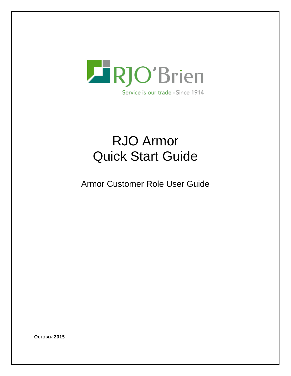

# RJO Armor Quick Start Guide

Armor Customer Role User Guide

**OCTOBER 2015**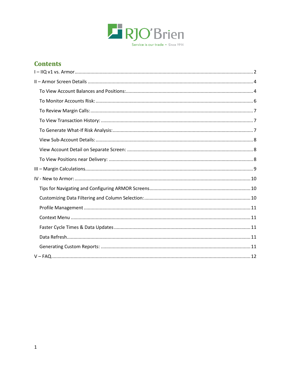

## **Contents**

<span id="page-1-0"></span>

| $V - FAQ$ |
|-----------|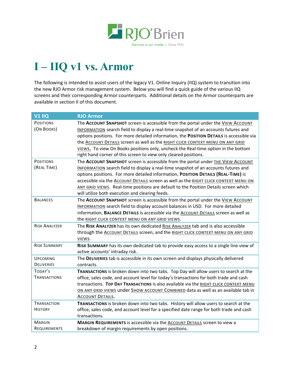

## **I – IIQ v1 vs. Armor**

The following is intended to assist users of the legacy V1. Online Inquiry (IIQ) system to transition into the new RJO Armor risk management system. Below you will find a quick guide of the various IIQ screens and their corresponding Armor counterparts. Additional details on the Armor counterparts are available in section II of this document.

| <b>V1 IIQ</b>                  | <b>RJO Armor</b>                                                                                                                                                                                                                                                                                                                                                                                                                                                                                                       |
|--------------------------------|------------------------------------------------------------------------------------------------------------------------------------------------------------------------------------------------------------------------------------------------------------------------------------------------------------------------------------------------------------------------------------------------------------------------------------------------------------------------------------------------------------------------|
| <b>POSITIONS</b><br>(ON BOOKS) | The ACCOUNT SNAPSHOT screen is accessible from the portal under the VIEW ACCOUNT<br><b>INFORMATION</b> search field to display a real-time snapshot of an accounts futures and<br>options positions. For more detailed information, the POSITION DETAILS is accessible via<br>the ACCOUNT DETAILS screen as well as the RIGHT CLICK CONTEXT MENU ON ANY GRID<br>VIEWS. To view On Books positions only, uncheck the Real-time option in the bottom<br>right hand corner of this screen to view only cleared positions. |
| <b>POSITIONS</b>               | The ACCOUNT SNAPSHOT screen is accessible from the portal under THE VIEW ACCOUNT                                                                                                                                                                                                                                                                                                                                                                                                                                       |
| (REAL TIME)                    | <b>INFORMATION</b> search field to display a real-time snapshot of an accounts futures and<br>options positions. For more detailed information, POSITION DETAILS (REAL-TIME) is<br>accessible via the Account Details screen as well as the RIGHT CLICK CONTEXT MENU ON<br>ANY GRID VIEWS. Real-time positions are default to the Position Details screen which<br>will utilize both execution and clearing feeds.                                                                                                     |
| <b>BALANCES</b>                | The ACCOUNT SNAPSHOT screen is accessible from the portal under the VIEW ACCOUNT                                                                                                                                                                                                                                                                                                                                                                                                                                       |
|                                | <b>INFORMATION</b> search field to display account balances in USD. For more detailed<br>information, BALANCE DETAILS is accessible via the Account DETAILS screen as well as<br>the RIGHT CLICK CONTEXT MENU ON ANY GRID VIEWS.                                                                                                                                                                                                                                                                                       |
| <b>RISK ANALYZER</b>           | The RISK ANALYZER has its own dedicated RISK ANALYZER tab and is also accessible                                                                                                                                                                                                                                                                                                                                                                                                                                       |
|                                | through the Account DETAILS screen, and the RIGHT CLICK CONTEXT MENU ON ANY GRID<br>VIEWS.                                                                                                                                                                                                                                                                                                                                                                                                                             |
| <b>RISK SUMMARY</b>            | RISK SUMMARY has its own dedicated tab to provide easy access to a single line view of<br>active accounts' intraday risk.                                                                                                                                                                                                                                                                                                                                                                                              |
| <b>UPCOMING</b>                | The DELIVERIES tab is accessible in its own screen and displays physically delivered                                                                                                                                                                                                                                                                                                                                                                                                                                   |
| <b>DELIVERIES</b>              | contracts.                                                                                                                                                                                                                                                                                                                                                                                                                                                                                                             |
| TODAY'S                        | TRANSACTIONS is broken down into two tabs. Top Day will allow users to search at the                                                                                                                                                                                                                                                                                                                                                                                                                                   |
| <b>TRANSACTIONS</b>            | office, sales code, and account level for today's transactions for both trade and cash                                                                                                                                                                                                                                                                                                                                                                                                                                 |
|                                | transactions. Top DAY TRANSACTIONS is also available via the RIGHT CLICK CONTEXT MENU                                                                                                                                                                                                                                                                                                                                                                                                                                  |
|                                | ON ANY GRID VIEWS under SHOW ACCOUNT COMBINED data as well as an available tab in                                                                                                                                                                                                                                                                                                                                                                                                                                      |
|                                | <b>ACCOUNT DETAILS.</b>                                                                                                                                                                                                                                                                                                                                                                                                                                                                                                |
| <b>TRANSACTION</b>             | TRANSACTIONS is broken down into two tabs. History will allow users to search at the                                                                                                                                                                                                                                                                                                                                                                                                                                   |
| <b>HISTORY</b>                 | office, sales code, and account level for a specified date range for both trade and cash<br>transactions.                                                                                                                                                                                                                                                                                                                                                                                                              |
| <b>MARGIN</b>                  | MARGIN REQUIREMENTS is accessible via the ACCOUNT DETAILS screen to view a                                                                                                                                                                                                                                                                                                                                                                                                                                             |
| REQUIREMENTS                   | breakdown of margin requirements by open positions.                                                                                                                                                                                                                                                                                                                                                                                                                                                                    |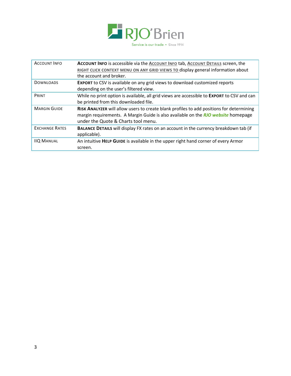

<span id="page-3-0"></span>

| <b>ACCOUNT INFO</b>   | ACCOUNT INFO is accessible via the ACCOUNT INFO tab, ACCOUNT DETAILS screen, the<br>RIGHT CLICK CONTEXT MENU ON ANY GRID VIEWS TO display general information about<br>the account and broker.                              |
|-----------------------|-----------------------------------------------------------------------------------------------------------------------------------------------------------------------------------------------------------------------------|
| <b>DOWNLOADS</b>      | <b>EXPORT to CSV</b> is available on any grid views to download customized reports<br>depending on the user's filtered view.                                                                                                |
| PRINT                 | While no print option is available, all grid views are accessible to EXPORT to CSV and can<br>be printed from this downloaded file.                                                                                         |
| <b>MARGIN GUIDE</b>   | <b>RISK ANALYZER</b> will allow users to create blank profiles to add positions for determining<br>margin requirements. A Margin Guide is also available on the RJO website homepage<br>under the Quote & Charts tool menu. |
| <b>EXCHANGE RATES</b> | BALANCE DETAILS will display FX rates on an account in the currency breakdown tab (if<br>applicable).                                                                                                                       |
| <b>IIQ MANUAL</b>     | An intuitive HELP GUIDE is available in the upper right hand corner of every Armor<br>screen.                                                                                                                               |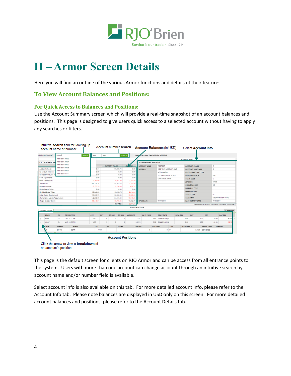

## **II – Armor Screen Details**

Here you will find an outline of the various Armor functions and details of their features.

## <span id="page-4-0"></span>**To View Account Balances and Positions:**

### **For Quick Access to Balances and Positions:**

Use the Account Summary screen which will provide a real-time snapshot of an account balances and positions. This page is designed to give users quick access to a selected account without having to apply any searches or filters.

|                               | SEARCH ACCOUNT:                | webted               |                    | <b>SEARCH</b> | web          | test       |                      | <b>SEARCH</b>                              |                   | Select                  | <b>dAccount: T-WEB-TEST1, WEBTEST</b> |                 |                       |             |                     |                     |                            |                   |            |                                                                                                 |
|-------------------------------|--------------------------------|----------------------|--------------------|---------------|--------------|------------|----------------------|--------------------------------------------|-------------------|-------------------------|---------------------------------------|-----------------|-----------------------|-------------|---------------------|---------------------|----------------------------|-------------------|------------|-------------------------------------------------------------------------------------------------|
|                               |                                | <b>WEBTEST-20000</b> |                    |               |              |            |                      |                                            |                   |                         |                                       |                 |                       |             |                     | <b>ACCOUNT INFO</b> |                            |                   |            |                                                                                                 |
|                               | <b>CALL AGE: 14/TOTA</b>       | WEBTEST-20001        |                    |               |              |            |                      |                                            |                   |                         | <b>Account Number: WEBTEST1</b>       |                 |                       |             |                     |                     |                            |                   |            |                                                                                                 |
|                               |                                | WEBTEST-20002        |                    |               |              |            | <b>CURRENT VALUE</b> |                                            | пú<br><b>COLE</b> |                         | <b>ACCOUNT NAME</b>                   |                 | WEBTEST               |             |                     |                     | <b>ACCOUNT CLASS</b>       |                   | R          |                                                                                                 |
|                               | Account Balance:               | <b>WEBTEST-20005</b> |                    |               | 0.74         |            |                      | 107,880.74                                 | 0.00              |                         | <b>ADDRESS</b>                        |                 | WEB TEST ACCOUNT ONE  |             |                     |                     | <b>ACCOUNT SURCLASS</b>    |                   | с          |                                                                                                 |
|                               | F2 Account Balance:            | WEBTEST-20007        |                    |               | 0.00         |            |                      | 0.00                                       | 0.00              |                         |                                       |                 | ATTN JANE O           |             |                     |                     | <b>RELATED MASTER CODE</b> |                   |            |                                                                                                 |
|                               | Realized Profit Loss pl        | WEBTEST-TEST1        |                    |               | 0.00         |            |                      | 0.00                                       | 0.00              |                         |                                       |                 | 222 S RIVERSIDE PLAZA |             |                     |                     | <b>BASE CURRENCY</b>       |                   | <b>USD</b> |                                                                                                 |
|                               | Cash Adjustments:              |                      |                    |               | 0.00         |            |                      | 0.00                                       | 0.00              |                         |                                       |                 | CHICAGO IL 60505      |             |                     |                     | <b>STATE CODE</b>          |                   | п.         |                                                                                                 |
|                               | Coen Trade Equity:             |                      |                    |               | $-7,760.00$  |            |                      | $-0.957.50$                                | $-2,197.50$       |                         |                                       |                 |                       |             |                     | ZIP CODE            |                            |                   | 60606      |                                                                                                 |
| Total Equity:                 |                                |                      |                    |               | 100.120.74   |            |                      | $-2.197.50$<br>97, 923, 24                 |                   |                         |                                       |                 |                       |             |                     |                     | <b>COUNTRY CODE</b>        |                   | US.        |                                                                                                 |
| Net Option Value:             |                                |                      |                    |               | $-2,173,75$  |            |                      | $-2,790.49$                                | $-616.74$         |                         |                                       |                 |                       |             |                     |                     | <b>BUSINESS TYPE</b>       |                   |            |                                                                                                 |
| Net Collateral Value:         |                                |                      |                    |               | 0.00         |            |                      | 0.00                                       | 0.00              |                         |                                       |                 |                       |             |                     |                     |                            |                   |            |                                                                                                 |
| <b>Net Liquidating Value:</b> |                                |                      |                    |               | 97,946.99    |            |                      | 95,132.75                                  | -2.814.24         |                         |                                       |                 |                       |             |                     |                     | <b>OMNIBUS CODE</b>        |                   |            |                                                                                                 |
|                               | Initial Margin Requirement     |                      |                    |               | 156,268.75   |            |                      | 136,688.49                                 | $-19,580.26$      |                         |                                       |                 |                       |             |                     |                     | <b>SALES CODE</b>          |                   | 01         |                                                                                                 |
|                               | Maintenance Margin Requirement |                      |                    |               | 142,260.75   |            |                      | 124,515.49<br>$-17.745.26$<br>$-38.765.25$ |                   |                         |                                       |                 |                       |             |                     |                     | <b>SALE SMAN</b>           |                   |            | OBERMOELLER-JANE                                                                                |
|                               | Margin Excess / Deficit:       |                      |                    |               | $-56.148.01$ |            |                      |                                            | 17,382.76         |                         | <b>OPEN DATE</b>                      |                 | 09/19/2012            |             |                     |                     | <b>LAST ACTIVITY DATE</b>  |                   | 09/22/2015 |                                                                                                 |
|                               |                                |                      |                    |               |              |            |                      | Day P&L:                                   | $-2.814.24$       |                         |                                       |                 |                       |             |                     |                     |                            |                   |            | <b>AN ARRAIGNMENT OF THE PROVINCIAL CONTACT PROVIDING TO A STATE OF A STATE OF A STATE OF A</b> |
|                               |                                |                      |                    |               |              |            |                      |                                            |                   | <b>POSITION DETAILS</b> |                                       |                 |                       |             |                     |                     |                            |                   |            |                                                                                                 |
|                               | Futures & Options              |                      |                    |               |              |            |                      |                                            |                   |                         |                                       |                 |                       |             |                     |                     |                            |                   |            | <b>V REALTIME</b>                                                                               |
|                               | <b>EXCH</b>                    | cc                   | <b>DESCRIPTION</b> |               | CCY          | <b>NET</b> | <b>TD BUY</b>        | <b>TD SELL</b>                             | <b>AVG PRICE</b>  |                         | <b>LAST PRICE</b>                     |                 | <b>PRICE DATE</b>     |             | <b>REAL P&amp;L</b> |                     | <b>NOV</b>                 | OTE               |            | <b>DAY P&amp;L</b>                                                                              |
| b.                            | CBOT                           | c.                   | DEC 15 CORN        |               | <b>USD</b>   | 5          | $\Omega$             | $\circ$                                    |                   | 3.81                    |                                       |                 | 3.81 09:44:15 AM (Q)  |             |                     | 0.00                |                            | 0.00              | 0.00       | 62.50                                                                                           |
| $\overline{a}$                | CBOT                           | $\mathbb{C}$         | MAR 16 CORN        |               | <b>USD</b>   | $-5$       | $\Omega$             | $\circ$                                    |                   | 3.9225                  |                                       |                 | 3.92 09:44:01 AM (Q)  |             |                     | 0.00                |                            | 0.00              | 62.50      | $-62.50$                                                                                        |
|                               | B/S                            | <b>PERIOD</b>        | <b>CONTRACT</b>    |               | CCY          |            | <b>P/C</b>           | <b>STRIKE</b>                              |                   | <b>QTY SHRT</b>         |                                       | <b>QTY LONG</b> |                       | <b>TYPE</b> |                     | <b>TRADE PRICE</b>  |                            | <b>TRADE DATE</b> |            | <b>TAS FLAG</b>                                                                                 |
|                               |                                | 201603               | CORN               |               |              | <b>USD</b> |                      |                                            |                   |                         | 5                                     |                 | $0$ $P$               |             |                     |                     |                            | 3.9225 2015/09/22 |            |                                                                                                 |
|                               |                                |                      |                    |               |              |            |                      |                                            |                   |                         |                                       |                 |                       |             |                     |                     |                            |                   |            |                                                                                                 |



This page is the default screen for clients on RJO Armor and can be access from all entrance points to the system. Users with more than one account can change account through an intuitive search by account name and/or number field is available.

Select account info is also available on this tab. For more detailed account info, please refer to the Account Info tab. Please note balances are displayed in USD only on this screen. For more detailed account balances and positions, please refer to the Account Details tab.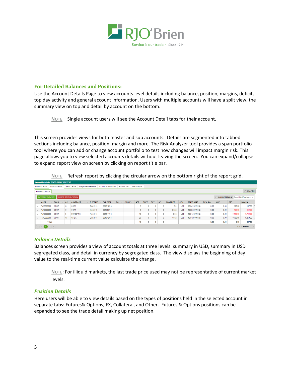

#### **For Detailed Balances and Positions:**

Use the Account Details Page to view accounts level details including balance, position, margins, deficit, top day activity and general account information. Users with multiple accounts will have a split view, the summary view on top and detail by account on the bottom.

**NOTE** – Single account users will see the Account Detail tabs for their account.

This screen provides views for both master and sub accounts. Details are segmented into tabbed sections including balance, position, margin and more. The Risk Analyzer tool provides a span portfolio tool where you can add or change account portfolio to test how changes will impact margin risk. This page allows you to view selected accounts details without leaving the screen. You can expand/collapse to expand report view on screen by clicking on report title bar.

| Note - Refresh report by clicking the circular arrow on the bottom right of the report grid. |  |  |  |
|----------------------------------------------------------------------------------------------|--|--|--|
|                                                                                              |  |  |  |
|                                                                                              |  |  |  |
|                                                                                              |  |  |  |

| <b>Account Details for T-WEB-20000, WEBTEST</b>                                                     |        |                         |  |                |                             |                            |                 |  |                             |            |                 |  |               |             |              |             |                  |            |                   |                     |                        |              |                       |
|-----------------------------------------------------------------------------------------------------|--------|-------------------------|--|----------------|-----------------------------|----------------------------|-----------------|--|-----------------------------|------------|-----------------|--|---------------|-------------|--------------|-------------|------------------|------------|-------------------|---------------------|------------------------|--------------|-----------------------|
| <b>Balance Details</b>                                                                              |        | <b>Position Details</b> |  |                | <b>Deficit Details</b>      | <b>Margin Requirements</b> |                 |  | <b>Top Day Transactions</b> |            | Account Info    |  | Risk Analyzer |             |              |             |                  |            |                   |                     |                        |              |                       |
| <b><i>V</i></b> REALTIME<br>Futures & Options                                                       |        |                         |  |                |                             |                            |                 |  |                             |            |                 |  |               |             |              |             |                  |            |                   |                     |                        |              |                       |
| <b>SAVE CONFIGURATION</b>                                                                           |        |                         |  |                | <b>DELETE CONFIGURATION</b> |                            |                 |  |                             |            |                 |  |               |             |              |             |                  |            |                   |                     | <b>INCLUDE DETAILS</b> |              | Export F&O Position v |
| <b>ACCT</b>                                                                                         |        | <b>EXCH</b>             |  | <b>CC</b>      | <b>CONTRACT</b>             |                            | <b>D PERIOD</b> |  | <b>EXP DATE</b>             | <b>P/C</b> | STRIKE $\wedge$ |  | <b>NET</b>    | <b>TNET</b> | <b>BUY</b>   | <b>SELL</b> | <b>AVG PRICE</b> | CCY        | <b>PRICE DATE</b> | <b>REAL P&amp;L</b> | <b>NOV</b>             | <b>OTE</b>   | DAY P&L               |
| <b>TWEB20000</b><br>b.                                                                              |        | <b>CBOT</b>             |  | $C-$           | CORN                        |                            | Dec 2015        |  | 2015/12/14                  |            |                 |  |               |             | $\Omega$     |             | 3.81             | <b>USD</b> | 10:34:13 AM (Q)   | 0.00                | 0.00                   | 125.00       | 187.50                |
| <b>TWEB20000</b><br>b.                                                                              |        | CBOT                    |  | C <sub>1</sub> | CORN                        |                            | Mar 2016        |  | 2016/03/14                  |            |                 |  | $-5$          |             | $\Omega$     | $\Omega$    | 3.9225           | <b>USD</b> | 10:33:59 AM (Q)   | 0.00                | 0.00                   | $-125.00$    | $-250.00$             |
| <b>TWEB20000</b><br>ь.                                                                              |        | CBOT                    |  | $S-$           | SOYBEANS                    |                            | Nov 2015        |  | 2015/11/13                  |            |                 |  | $-10$         |             | $\mathbf{0}$ |             | 8.635            | <b>USD</b> | 10:34:13 AM (Q)   | 0.00                | 0.00                   | $-19,750.00$ | $-7,750.00$           |
| TWEB20000<br>Ъ.                                                                                     |        | CBOT                    |  | $W-$           | <b>WHEAT</b>                |                            | Dec 2015        |  | 2015/12/14                  |            |                 |  | 20            |             | $\Omega$     | $\Omega$    | 4.9525           | <b>USD</b> | 10:34:07 AM (Q)   | 0.00                | 0.00                   | 19,750.00    | 8,250.00              |
|                                                                                                     | Total: |                         |  |                |                             |                            |                 |  |                             |            |                 |  | 40            | $\Omega$    | $\Omega$     |             |                  |            |                   | 0.00                | 0.00                   | 0.00         | 437.50                |
| 1 - 4 of 4 items<br>$\left  \left  \left  \right  \right  \right $ $\left  \right $<br>$\circ$<br>K |        |                         |  |                |                             |                            |                 |  |                             |            |                 |  |               |             |              |             |                  |            |                   |                     |                        |              |                       |

### *Balance Details*

Balances screen provides a view of account totals at three levels: summary in USD, summary in USD segregated class, and detail in currency by segregated class. The view displays the beginning of day value to the real-time current value calculate the change.

**NOTE**: For illiquid markets, the last trade price used may not be representative of current market levels.

### *Position Details*

Here users will be able to view details based on the types of positions held in the selected account in separate tabs: Futures& Options, FX, Collateral, and Other. Futures & Options positions can be expanded to see the trade detail making up net position.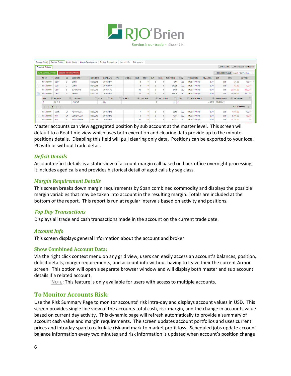

|                  | <b>Balance Details</b>                                                                                      | <b>Position Details</b>  |              | <b>Deficit Details</b><br><b>Margin Requirements</b> |                 | <b>Top Day Transactions</b> |             | Account Info          | <b>Risk Analyzer</b> |                  |            |                         |                             |              |                            |                     |                           |                         |             |
|------------------|-------------------------------------------------------------------------------------------------------------|--------------------------|--------------|------------------------------------------------------|-----------------|-----------------------------|-------------|-----------------------|----------------------|------------------|------------|-------------------------|-----------------------------|--------------|----------------------------|---------------------|---------------------------|-------------------------|-------------|
|                  | <b>REALTIME</b><br><b>AGGREGATE TO MASTER</b><br>Futures & Options                                          |                          |              |                                                      |                 |                             |             |                       |                      |                  |            |                         |                             |              |                            |                     |                           |                         |             |
|                  | <b>SAVE CONFIGURATION</b><br><b>DELETE CONFIGURATION</b><br>Export F&O Position v<br><b>INCLUDE DETAILS</b> |                          |              |                                                      |                 |                             |             |                       |                      |                  |            |                         |                             |              |                            |                     |                           |                         |             |
|                  | <b>ACCT</b>                                                                                                 | <b>EXCH</b>              | cc           | <b>CONTRACT</b>                                      | <b>D PERIOD</b> | <b>EXP DATE</b>             | P/C         | STRIKE $\wedge$       | <b>NET</b>           | <b>TNET</b>      | <b>BUY</b> | <b>SELL</b>             | <b>AVG PRICE</b>            | CCY          | <b>PRICE DATE</b>          | <b>REAL P&amp;L</b> | <b>NOV</b>                | <b>OTE</b>              | DAY P&L     |
| $\triangleright$ | <b>TWEB20000</b>                                                                                            | CBOT                     | $\mathbf{C}$ | <b>CORN</b>                                          | Dec 2015        | 2015/12/14                  |             |                       |                      |                  | n          | 0                       | 3.81                        | <b>USD</b>   | 10:35:13 AM (Q)            | 0.00                | 0.00                      | 125.00                  | 187.50      |
|                  | <b>TWEB20000</b>                                                                                            | <b>CBOT</b>              | $C-$         | <b>CORN</b>                                          | Mar 2016        | 2016/03/14                  |             |                       | $-5$                 |                  |            | $\mathbf{0}$            | 3.9225                      | <b>USD</b>   | 10:35:11 AM (Q)            | 0.00                | 0.00                      | $-62.50$                | $-187.50$   |
| b.               | <b>TWEB20000</b>                                                                                            | <b>CBOT</b>              | $S-$         | SOYBEANS                                             | Nov 2015        | 2015/11/13                  |             |                       | $-10$                |                  |            | $\Omega$                | 8.635                       | <b>USD</b>   | 10:35:14 AM (Q)            | 0.00                | 0.00                      | $-20,000.00$            | $-8,000.00$ |
| $\sqrt{4}$       | TWEB20000                                                                                                   | CBOT                     | W-           | <b>WHEAT</b>                                         | Dec 2015        | 2015/12/14                  |             |                       | 20                   | $\Omega$         |            | $\bullet$               | 4.9525                      | <b>USD</b>   | 10:36:13 AM (Q)            | 0.00                | 0.00                      | 19,500.00               | 8,000.00    |
|                  | B/S                                                                                                         | $\odot$<br><b>PERIOD</b> |              | CONTRACT                                             | $\odot$ CCY     |                             | $\odot$ P/C | $\circledcirc$ STRIKE |                      | $\odot$ QTY SHRT |            | $\circledcirc$ QTY LONG |                             | $\odot$ TYPE | $\circledcirc$ TRADE PRICE |                     | $\circledcirc$ TRADE DATE | $\circledcirc$ TAS FLAG | $\odot$     |
|                  | в                                                                                                           | 201512                   |              | <b>WHEAT</b>                                         |                 | <b>USD</b>                  |             |                       |                      |                  | $\Omega$   |                         | 20 <sub>1</sub><br><b>P</b> |              |                            | 4.9525              | 2015/09/22                |                         |             |
|                  | $1 - 1$ of 1 items<br>(1)<br>Ġ<br>$>$ $\mid$ $\mid$<br>$\overline{K}$<br>$\sim$                             |                          |              |                                                      |                 |                             |             |                       |                      |                  |            |                         |                             |              |                            |                     |                           |                         |             |
| $\sim$           | <b>TWEB20005</b>                                                                                            | CSCE                     | CY           | NEW COCOA                                            | Dec 2015        | 2015/12/15                  |             |                       |                      | $\bullet$        | $\Omega$   | $\bullet$               | 33.08                       | <b>USD</b>   | 10:35:01 AM (Q)            | 0.00                | 0.00                      | $-1.850.00$             | 490.00      |
|                  | <b>TWEB20002</b>                                                                                            | <b>IMM</b>               | C1           | CDN DOLLAR                                           | Dec 2015        | 2015/12/15                  |             |                       |                      | $\bullet$        |            | $\Omega$                | 75.34                       | <b>USD</b>   | 10:36:13 AM (Q)            | 0.00                | 0.00                      | 5,100.00                | $-180.00$   |
| b.               | <b>TWEB20002</b>                                                                                            | <b>IMM</b>               | EC.          | <b>IMM EURO FX</b>                                   | Dec 2015        | 2015/12/14                  |             |                       | $-10$                | $\Omega$         |            | n                       | 1.1137                      | <b>USD</b>   | 10:36:13 AM (Q)            | 0.00                | 0.00                      | $-31,375.00$            | 0.00        |

Master accounts can view aggregated position by sub account at the master level. This screen will default to a Real-time view which uses both execution and clearing data provide up to the minute positions details. Disabling this field will pull clearing only data. Positions can be exported to your local PC with or without trade detail.

### *Deficit Details*

Account deficit details is a static view of account margin call based on back office overnight processing, It includes aged calls and provides historical detail of aged calls by seg class.

### *Margin Requirement Details*

This screen breaks down margin requirements by Span combined commodity and displays the possible margin variables that may be taken into account in the resulting margin. Totals are included at the bottom of the report. This report is run at regular intervals based on activity and positions.

### *Top Day Transactions*

Displays all trade and cash transactions made in the account on the current trade date.

### *Account Info*

This screen displays general information about the account and broker

### **Show Combined Account Data:**

Via the right click context menu on any grid view, users can easily access an account's balances, position, deficit details, margin requirements, and account info without having to leave their the current Armor screen. This option will open a separate browser window and will display both master and sub account details if a related account.

**NOTE**: This feature is only available for users with access to multiple accounts.

## <span id="page-6-0"></span>**To Monitor Accounts Risk:**

Use the Risk Summary Page to monitor accounts' risk intra-day and displays account values in USD. This screen provides single line view of the accounts total cash, risk margin, and the change in accounts value based on current day activity. This dynamic page will refresh automatically to provide a summary of account cash value and margin requirements. The screen updates account portfolios and uses current prices and intraday span to calculate risk and mark to market profit loss. Scheduled jobs update account balance information every two minutes and risk information is updated when account's position change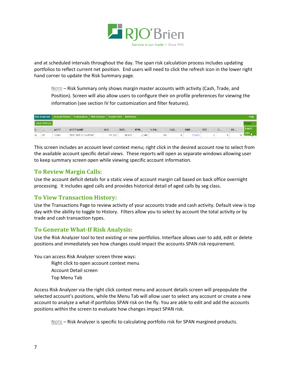

and at scheduled intervals throughout the day. The span risk calculation process includes updating portfolios to reflect current net position. End users will need to click the refresh icon in the lower right hand corner to update the Risk Summary page.

**NOTE** – Risk Summary only shows margin master accounts with activity (Cash, Trade, and Position). Screen will also allow users to configure their on profile preferences for viewing the information (see section IV for customization and filter features).

|          |              |             | Risk Summary   Account Details   Transactions   Risk Analyzer   Account Info   Deliveries |                   |                   |                    |    |                                  |   |          |           | <b>Help</b> |
|----------|--------------|-------------|-------------------------------------------------------------------------------------------|-------------------|-------------------|--------------------|----|----------------------------------|---|----------|-----------|-------------|
|          | SAVE PROFILE |             |                                                                                           |                   |                   |                    |    |                                  |   |          |           | Export      |
| $0 \vee$ |              | <b>ACCT</b> | $\vee$ ACCT NAME                                                                          | <b>NLV</b><br>AV. | <b>BOD</b> $\vee$ | $MTM$ $\vee$ % P&L |    | $\vee$ CAS $\vee$ RMR $\vee$ TOT |   | $\vee$ C | $\Box$ DE | Export      |
| <b>W</b> | 01           | 12345       | TEST SEP 21 2-UPDAT                                                                       | 91.323            | 88,976            | 2,348              | 3% | 71,423                           | 0 |          |           |             |

This screen includes an account level context menu; right click in the desired account row to select from the available account specific detail views. These reports will open as separate windows allowing user to keep summary screen open while viewing specific account information.

## <span id="page-7-0"></span>**To Review Margin Calls:**

Use the account deficit details for a static view of account margin call based on back office overnight processing. It includes aged calls and provides historical detail of aged calls by seg class.

## <span id="page-7-1"></span>**To View Transaction History:**

Use the Transactions Page to review activity of your accounts trade and cash activity. Default view is top day with the ability to toggle to History. Filters allow you to select by account the total activity or by trade and cash transaction types.

## <span id="page-7-2"></span>**To Generate What-If Risk Analysis:**

Use the Risk Analyzer tool to test existing or new portfolios. Interface allows user to add, edit or delete positions and immediately see how changes could impact the accounts SPAN risk requirement.

You can access Risk Analyzer screen three ways:

- Right click to open account context menu
- Account Detail screen
- Top Menu Tab

Access Risk Analyzer via the right click context menu and account details screen will prepopulate the selected account's positions, while the Menu Tab will allow user to select any account or create a new account to analyze a what-if portfolios SPAN risk on the fly. You are able to edit and add the accounts positions within the screen to evaluate how changes impact SPAN risk.

**NOTE** – Risk Analyzer is specific to calculating portfolio risk for SPAN margined products.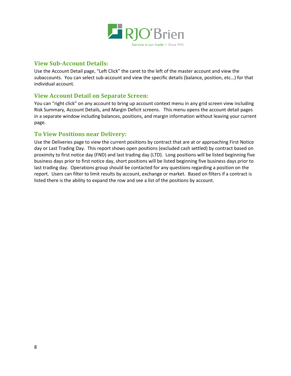

## <span id="page-8-0"></span>**View Sub-Account Details:**

Use the Account Detail page, "Left Click" the caret to the left of the master account and view the subaccounts. You can select sub-account and view the specific details (balance, position, etc…) for that individual account.

## <span id="page-8-1"></span>**View Account Detail on Separate Screen:**

You can "right click" on any account to bring up account context menu in any grid screen view including Risk Summary, Account Details, and Margin Deficit screens. This menu opens the account detail pages in a separate window including balances, positions, and margin information without leaving your current page.

## <span id="page-8-2"></span>**To View Positions near Delivery:**

<span id="page-8-3"></span>Use the Deliveries page to view the current positions by contract that are at or approaching First Notice day or Last Trading Day. This report shows open positions (excluded cash settled) by contract based on proximity to first notice day (FND) and last trading day (LTD). Long positions will be listed beginning five business days prior to first notice day, short positions will be listed beginning five business days prior to last trading day. Operations group should be contacted for any questions regarding a position on the report. Users can filter to limit results by account, exchange or market. Based on filters if a contract is listed there is the ability to expand the row and see a list of the positions by account.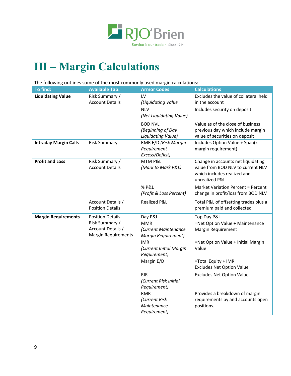

## **III – Margin Calculations**

The following outlines some of the most commonly used margin calculations:

| To find:                     | <b>Available Tab:</b>                                                                        | <b>Armor Codes</b>                                                          | <b>Calculations</b>                                                                                                      |
|------------------------------|----------------------------------------------------------------------------------------------|-----------------------------------------------------------------------------|--------------------------------------------------------------------------------------------------------------------------|
| <b>Liquidating Value</b>     | Risk Summary /<br><b>Account Details</b>                                                     | LV<br>(Liquidating Value<br><b>NLV</b><br>(Net Liquidating Value)           | Excludes the value of collateral held<br>in the account<br>Includes security on deposit                                  |
|                              |                                                                                              | <b>BOD NVL</b><br>(Beginning of Day<br>Liquidating Value)                   | Value as of the close of business<br>previous day which include margin<br>value of securities on deposit                 |
| <b>Intraday Margin Calls</b> | <b>Risk Summary</b>                                                                          | RMR E/D (Risk Margin<br>Requirement<br>Excess/Deficit)                      | Includes Option Value + Span(x<br>margin requirement)                                                                    |
| <b>Profit and Loss</b>       | Risk Summary /<br><b>Account Details</b>                                                     | MTM P&L<br>(Mark to Mark P&L)                                               | Change in accounts net liquidating<br>value from BOD NLV to current NLV<br>which includes realized and<br>unrealized P&L |
|                              |                                                                                              | % P&L<br>(Profit & Loss Percent)                                            | <b>Market Variation Percent = Percent</b><br>change in profit/loss from BOD NLV                                          |
|                              | Account Details /<br><b>Position Details</b>                                                 | <b>Realized P&amp;L</b>                                                     | Total P&L of offsetting trades plus a<br>premium paid and collected                                                      |
| <b>Margin Requirements</b>   | <b>Position Details</b><br>Risk Summary /<br>Account Details /<br><b>Margin Requirements</b> | Day P&L<br><b>MMR</b><br>(Current Maintenance<br><b>Margin Requirement)</b> | Top Day P&L<br>=Net Option Value + Maintenance<br><b>Margin Requirement</b>                                              |
|                              |                                                                                              | <b>IMR</b><br>(Current Initial Margin<br>Requirement)                       | =Net Option Value + Initial Margin<br>Value                                                                              |
|                              |                                                                                              | Margin E/D                                                                  | =Total Equity + IMR<br><b>Excludes Net Option Value</b>                                                                  |
|                              |                                                                                              | <b>RIR</b><br>(Current Risk Initial<br>Requirement)                         | <b>Excludes Net Option Value</b>                                                                                         |
|                              |                                                                                              | <b>RMR</b><br>(Current Risk<br>Maintenance<br>Requirement)                  | Provides a breakdown of margin<br>requirements by and accounts open<br>positions.                                        |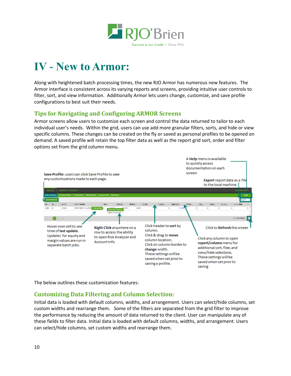

## <span id="page-10-0"></span>**IV - New to Armor:**

Along with heightened batch processing times, the new RJO Armor has numerous new features. The Armor interface is consistent across its varying reports and screens, providing intuitive user controls to filter, sort, and view information. Additionally Armor lets users change, customize, and save profile configurations to best suit their needs.

## <span id="page-10-1"></span>**Tips for Navigating and Configuring ARMOR Screens**

Armor screens allow users to customize each screen and control the data returned to tailor to each individual user's needs. Within the grid, users can use add more granular filters, sorts, and hide or view specific columns. These changes can be created on the fly or saved as personal profiles to be opened on demand. A saved profile will retain the top filter data as well as the report grid sort, order and filter options set from the grid column menu.



The below outlines these customization features:

## <span id="page-10-2"></span>**Customizing Data Filtering and Column Selection:**

Initial data is loaded with default columns, widths, and arrangement. Users can select/hide columns, set custom widths and rearrange them. Some of the filters are separated from the grid filter to improve the performance by reducing the amount of data returned to the client. User can manipulate any of these fields to filter data. Initial data is loaded with default columns, widths, and arrangement. Users can select/hide columns, set custom widths and rearrange them.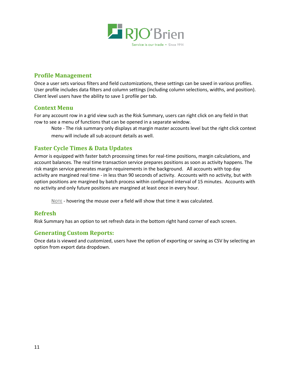

## <span id="page-11-0"></span>**Profile Management**

Once a user sets various filters and field customizations, these settings can be saved in various profiles. User profile includes data filters and column settings (including column selections, widths, and position). Client level users have the ability to save 1 profile per tab.

## <span id="page-11-1"></span>**Context Menu**

For any account row in a grid view such as the Risk Summary, users can right click on any field in that row to see a menu of functions that can be opened in a separate window.

Note - The risk summary only displays at margin master accounts level but the right click context menu will include all sub account details as well.

## <span id="page-11-2"></span>**Faster Cycle Times & Data Updates**

Armor is equipped with faster batch processing times for real-time positions, margin calculations, and account balances. The real time transaction service prepares positions as soon as activity happens. The risk margin service generates margin requirements in the background. All accounts with top day activity are margined real time - in less than 90 seconds of activity. Accounts with no activity, but with option positions are margined by batch process within configured interval of 15 minutes. Accounts with no activity and only future positions are margined at least once in every hour.

**NOTE** - hovering the mouse over a field will show that time it was calculated.

## <span id="page-11-3"></span>**Refresh**

Risk Summary has an option to set refresh data in the bottom right hand corner of each screen.

## <span id="page-11-4"></span>**Generating Custom Reports:**

<span id="page-11-5"></span>Once data is viewed and customized, users have the option of exporting or saving as CSV by selecting an option from export data dropdown.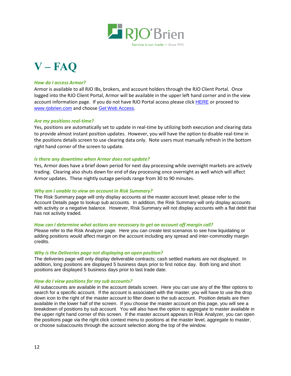

## **V – FAQ**

#### *How do I access Armor?*

Armor is available to all RJO IBs, brokers, and account holders through the RJO Client Portal. Once logged into the RJO Client Portal, Armor will be available in the upper left hand corner and in the view account information page. If you do not have RJO Portal access please click [HERE](https://portal.rjobrien.com/Account/Register) or proceed to [www.rjobrien.com](http://www.rjobrien.com/) and choose [Get Web Access](https://portal.rjobrien.com/Account/Register).

#### *Are my positions real-time?*

Yes, positions are automatically set to update in real-time by utilizing both execution and clearing data to provide almost instant position updates. However, you will have the option to disable real-time in the positions details screen to use clearing data only. Note users must manually refresh in the bottom right hand corner of the screen to update.

#### *Is there any downtime when Armor does not update?*

Yes, Armor does have a brief down period for next day processing while overnight markets are actively trading. Clearing also shuts down for end of day processing once overnight as well which will affect Armor updates. These nightly outage periods range from 30 to 90 minutes.

#### *Why am I unable to view an account in Risk Summary?*

The Risk Summary page will only display accounts at the master account level; please refer to the Account Details page to lookup sub accounts. In addition, the Risk Summary will only display accounts with activity or a negative balance. However, Risk Summary will not display accounts with a flat debit that has not activity traded.

#### *How can I determine what actions are necessary to get an account off margin call?*

Please refer to the Risk Analyzer page. Here you can create test scenarios to see how liquidating or adding positions would affect margin on the account including any spread and inter-commodity margin credits.

#### *Why is the Deliveries page not displaying an open position?*

The deliveries page will only display deliverable contracts; cash settled markets are not displayed. In addition, long positions are displayed 5 business days prior to first notice day. Both long and short positions are displayed 5 business days prior to last trade date.

#### *How do I view positions for my sub accounts?*

All subaccounts are available in the account details screen. Here you can use any of the filter options to search for a specific account. If the account is associated with the master, you will have to use the drop down icon to the right of the master account to filter down to the sub account. Position details are then available in the lower half of the screen. If you choose the master account on this page, you will see a breakdown of positions by sub account. You will also have the option to aggregate to master available in the upper right hand corner of this screen. If the master account appears in Risk Analyzer, you can open the positions page via the right click context menu to positions at the master level, aggregate to master, or choose subaccounts through the account selection along the top of the window.